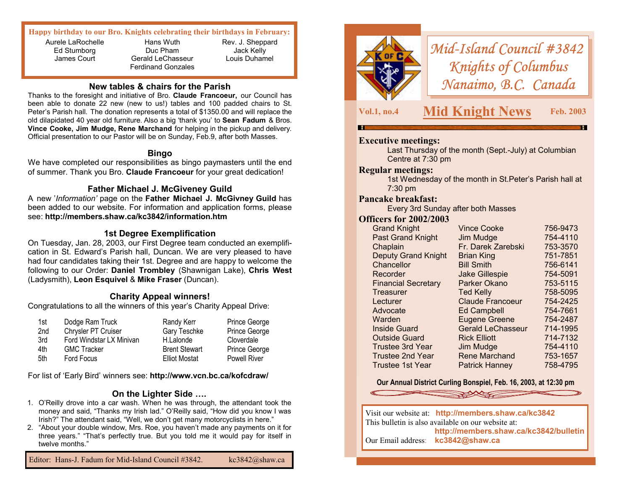#### **Happy birthday to our Bro. Knights celebrating their birthdays in February:**

Aurele LaRochelle Ed Stumborg James Court

Hans Wuth Duc Pham Gerald LeChasseur Ferdinand Gonzales

Rev. J. Sheppard Jack Kelly Louis Duhamel

#### **New tables & chairs for the Parish**

Thanks to the foresight and initiative of Bro. **Claude Francoeur,** our Council has been able to donate 22 new (new to us!) tables and 100 padded chairs to St. Peter's Parish hall. The donation represents a total of \$1350.00 and will replace the old dilapidated 40 year old furniture. Also a big 'thank you' to **Sean Fadum** & Bros. **Vince Cooke, Jim Mudge, Rene Marchand** for helping in the pickup and delivery. Official presentation to our Pastor will be on Sunday, Feb.9, after both Masses.

#### **Bingo**

We have completed our responsibilities as bingo paymasters until the end of summer. Thank you Bro. **Claude Francoeur** for your great dedication!

#### **Father Michael J. McGiveney Guild**

A new '*Information'* page on the **Father Michael J. McGivney Guild** has been added to our website. For information and application forms, please see: **http://members.shaw.ca/kc3842/information.htm** 

#### **1st Degree Exemplification**

On Tuesday, Jan. 28, 2003, our First Degree team conducted an exemplification in St. Edward's Parish hall, Duncan. We are very pleased to have had four candidates taking their 1st. Degree and are happy to welcome the following to our Order: **Daniel Trombley** (Shawnigan Lake), **Chris West**  (Ladysmith), **Leon Esquivel** & **Mike Fraser** (Duncan).

# **Charity Appeal winners!**

Congratulations to all the winners of this year's Charity Appeal Drive:

| Dodge Ram Truck          | Randy Kerr           | Prince George       |
|--------------------------|----------------------|---------------------|
| Chrysler PT Cruiser      | <b>Gary Teschke</b>  | Prince George       |
| Ford Windstar LX Minivan | H.Lalonde            | Cloverdale          |
| <b>GMC Tracker</b>       | <b>Brent Stewart</b> | Prince George       |
| Ford Focus               | <b>Elliot Mostat</b> | <b>Powell River</b> |
|                          |                      |                     |

For list of 'Early Bird' winners see: **http://www.vcn.bc.ca/kofcdraw/** 

#### **On the Lighter Side ….**

- 1. O'Reilly drove into a car wash. When he was through, the attendant took the money and said, "Thanks my Irish lad." O'Reilly said, "How did you know I was Irish?" The attendant said, "Well, we don't get many motorcyclists in here."
- 2. "About your double window, Mrs. Roe, you haven't made any payments on it for three years." "That's perfectly true. But you told me it would pay for itself in twelve months."

Editor: Hans-J. Fadum for Mid-Island Council #3842. kc3842@shaw.ca



*Mid-Island Council #3842 Knights of Columbus Nanaimo, B.C. Canada* 

# **Vol.1, no.4 Mid Knight News Feb. 2003**

# **Executive meetings:**

Last Thursday of the month (Sept.-July) at Columbian Centre at 7:30 pm

#### **Regular meetings:**

1st Wednesday of the month in St.Peter's Parish hall at 7:30 pm

## **Pancake breakfast:**

Every 3rd Sunday after both Masses

#### **Officers for 2002/2003**

| <b>Grand Knight</b>        | <b>Vince Cooke</b>       | 756-9473 |
|----------------------------|--------------------------|----------|
| <b>Past Grand Knight</b>   | Jim Mudge                | 754-4110 |
| Chaplain                   | Fr. Darek Zarebski       | 753-3570 |
| <b>Deputy Grand Knight</b> | <b>Brian King</b>        | 751-7851 |
| Chancellor                 | <b>Bill Smith</b>        | 756-6141 |
| Recorder                   | <b>Jake Gillespie</b>    | 754-5091 |
| <b>Financial Secretary</b> | Parker Okano             | 753-5115 |
| Treasurer                  | <b>Ted Kelly</b>         | 758-5095 |
| Lecturer                   | <b>Claude Francoeur</b>  | 754-2425 |
| Advocate                   | <b>Ed Campbell</b>       | 754-7661 |
| Warden                     | <b>Eugene Greene</b>     | 754-2487 |
| <b>Inside Guard</b>        | <b>Gerald LeChasseur</b> | 714-1995 |
| <b>Outside Guard</b>       | <b>Rick Elliott</b>      | 714-7132 |
| <b>Trustee 3rd Year</b>    | Jim Mudge                | 754-4110 |
| <b>Trustee 2nd Year</b>    | <b>Rene Marchand</b>     | 753-1657 |
| Trustee 1st Year           | <b>Patrick Hanney</b>    | 758-4795 |
|                            |                          |          |

#### **Our Annual District Curling Bonspiel, Feb. 16, 2003, at 12:30 pm**